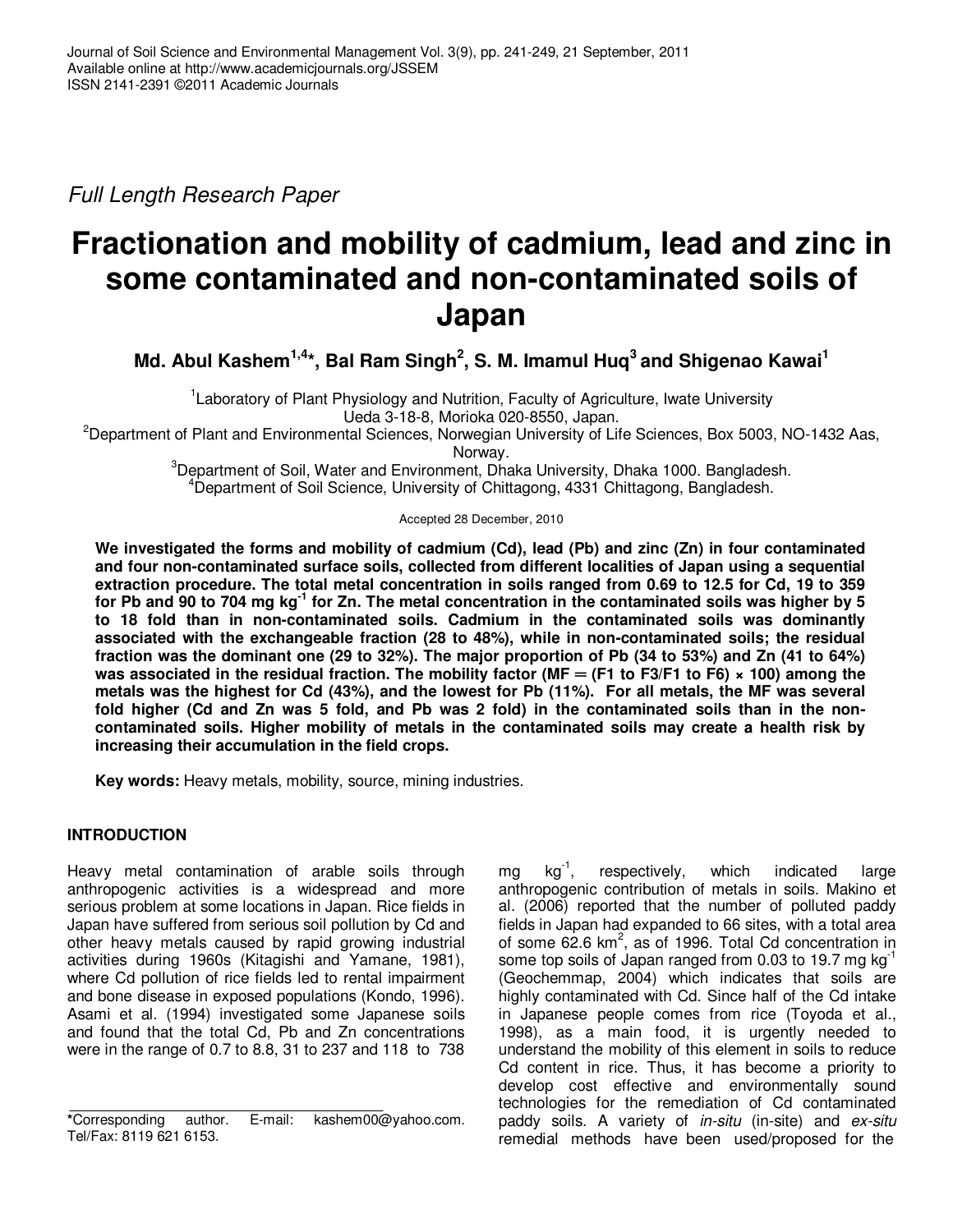Full Length Research Paper

# **Fractionation and mobility of cadmium, lead and zinc in some contaminated and non-contaminated soils of Japan**

**Md. Abul Kashem1,4\*, Bal Ram Singh<sup>2</sup> , S. M. Imamul Huq<sup>3</sup> and Shigenao Kawai<sup>1</sup>**

<sup>1</sup> Laboratory of Plant Physiology and Nutrition, Faculty of Agriculture, Iwate University Ueda 3-18-8, Morioka 020-8550, Japan.

<sup>2</sup>Department of Plant and Environmental Sciences, Norwegian University of Life Sciences, Box 5003, NO-1432 Aas, Norway.

<sup>3</sup>Department of Soil, Water and Environment, Dhaka University, Dhaka 1000. Bangladesh. <sup>4</sup>Department of Soil Science, University of Chittagong, 4331 Chittagong, Bangladesh.

Accepted 28 December, 2010

**We investigated the forms and mobility of cadmium (Cd), lead (Pb) and zinc (Zn) in four contaminated and four non-contaminated surface soils, collected from different localities of Japan using a sequential extraction procedure. The total metal concentration in soils ranged from 0.69 to 12.5 for Cd, 19 to 359 for Pb and 90 to 704 mg kg-1 for Zn. The metal concentration in the contaminated soils was higher by 5 to 18 fold than in non-contaminated soils. Cadmium in the contaminated soils was dominantly associated with the exchangeable fraction (28 to 48%), while in non-contaminated soils; the residual fraction was the dominant one (29 to 32%). The major proportion of Pb (34 to 53%) and Zn (41 to 64%)**  was associated in the residual fraction. The mobility factor (MF =  $(F1$  to F3/F1 to F6)  $\times$  100) among the **metals was the highest for Cd (43%), and the lowest for Pb (11%). For all metals, the MF was several fold higher (Cd and Zn was 5 fold, and Pb was 2 fold) in the contaminated soils than in the noncontaminated soils. Higher mobility of metals in the contaminated soils may create a health risk by increasing their accumulation in the field crops.** 

**Key words:** Heavy metals, mobility, source, mining industries.

## **INTRODUCTION**

Heavy metal contamination of arable soils through anthropogenic activities is a widespread and more serious problem at some locations in Japan. Rice fields in Japan have suffered from serious soil pollution by Cd and other heavy metals caused by rapid growing industrial activities during 1960s (Kitagishi and Yamane, 1981), where Cd pollution of rice fields led to rental impairment and bone disease in exposed populations (Kondo, 1996). Asami et al. (1994) investigated some Japanese soils and found that the total Cd, Pb and Zn concentrations were in the range of 0.7 to 8.8, 31 to 237 and 118 to 738

mg kg<sup>-1</sup>, respectively, which indicated large anthropogenic contribution of metals in soils. Makino et al. (2006) reported that the number of polluted paddy fields in Japan had expanded to 66 sites, with a total area of some 62.6  $km^2$ , as of 1996. Total Cd concentration in some top soils of Japan ranged from 0.03 to 19.7 mg  $kg^{-1}$ (Geochemmap, 2004) which indicates that soils are highly contaminated with Cd. Since half of the Cd intake in Japanese people comes from rice (Toyoda et al., 1998), as a main food, it is urgently needed to understand the mobility of this element in soils to reduce Cd content in rice. Thus, it has become a priority to develop cost effective and environmentally sound technologies for the remediation of Cd contaminated paddy soils. A variety of *in-situ* (in-site) and ex-situ remedial methods have been used/proposed for the

**<sup>\*</sup>**Corresponding author. E-mail: kashem00@yahoo.com. Tel/Fax: 8119 621 6153.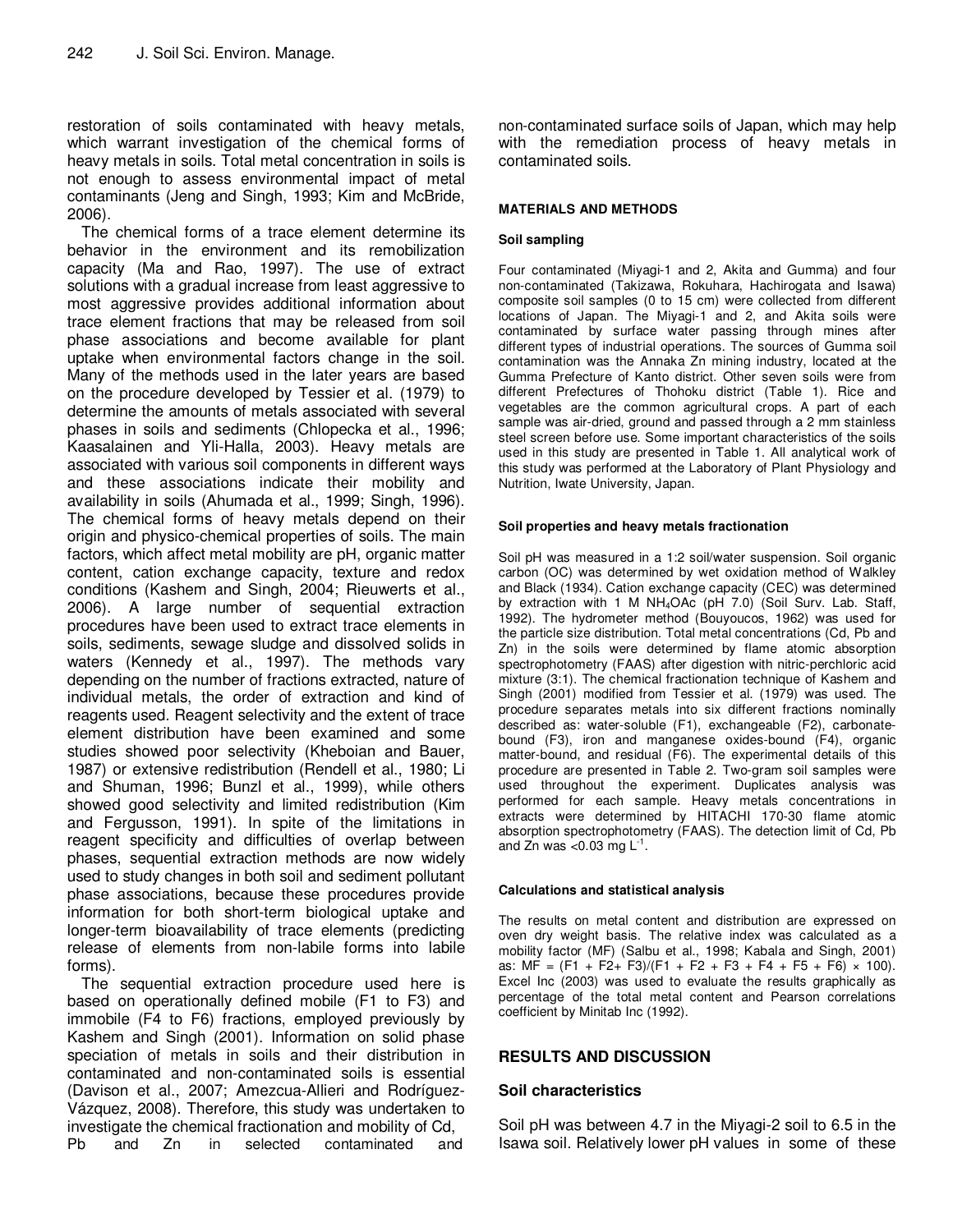restoration of soils contaminated with heavy metals, which warrant investigation of the chemical forms of heavy metals in soils. Total metal concentration in soils is not enough to assess environmental impact of metal contaminants (Jeng and Singh, 1993; Kim and McBride, 2006).

The chemical forms of a trace element determine its behavior in the environment and its remobilization capacity (Ma and Rao, 1997). The use of extract solutions with a gradual increase from least aggressive to most aggressive provides additional information about trace element fractions that may be released from soil phase associations and become available for plant uptake when environmental factors change in the soil. Many of the methods used in the later years are based on the procedure developed by Tessier et al. (1979) to determine the amounts of metals associated with several phases in soils and sediments (Chlopecka et al., 1996; Kaasalainen and Yli-Halla, 2003). Heavy metals are associated with various soil components in different ways and these associations indicate their mobility and availability in soils (Ahumada et al., 1999; Singh, 1996). The chemical forms of heavy metals depend on their origin and physico-chemical properties of soils. The main factors, which affect metal mobility are pH, organic matter content, cation exchange capacity, texture and redox conditions (Kashem and Singh, 2004; Rieuwerts et al., 2006). A large number of sequential extraction procedures have been used to extract trace elements in soils, sediments, sewage sludge and dissolved solids in waters (Kennedy et al., 1997). The methods vary depending on the number of fractions extracted, nature of individual metals, the order of extraction and kind of reagents used. Reagent selectivity and the extent of trace element distribution have been examined and some studies showed poor selectivity (Kheboian and Bauer, 1987) or extensive redistribution (Rendell et al., 1980; Li and Shuman, 1996; Bunzl et al., 1999), while others showed good selectivity and limited redistribution (Kim and Fergusson, 1991). In spite of the limitations in reagent specificity and difficulties of overlap between phases, sequential extraction methods are now widely used to study changes in both soil and sediment pollutant phase associations, because these procedures provide information for both short-term biological uptake and longer-term bioavailability of trace elements (predicting release of elements from non-labile forms into labile forms).

The sequential extraction procedure used here is based on operationally defined mobile (F1 to F3) and immobile (F4 to F6) fractions, employed previously by Kashem and Singh (2001). Information on solid phase speciation of metals in soils and their distribution in contaminated and non-contaminated soils is essential (Davison et al., 2007; Amezcua-Allieri and Rodríguez-Vázquez, 2008). Therefore, this study was undertaken to investigate the chemical fractionation and mobility of Cd, Pb and Zn in selected contaminated and

non-contaminated surface soils of Japan, which may help with the remediation process of heavy metals in contaminated soils.

#### **MATERIALS AND METHODS**

### **Soil sampling**

Four contaminated (Miyagi-1 and 2, Akita and Gumma) and four non-contaminated (Takizawa, Rokuhara, Hachirogata and Isawa) composite soil samples (0 to 15 cm) were collected from different locations of Japan. The Miyagi-1 and 2, and Akita soils were contaminated by surface water passing through mines after different types of industrial operations. The sources of Gumma soil contamination was the Annaka Zn mining industry, located at the Gumma Prefecture of Kanto district. Other seven soils were from different Prefectures of Thohoku district (Table 1). Rice and vegetables are the common agricultural crops. A part of each sample was air-dried, ground and passed through a 2 mm stainless steel screen before use. Some important characteristics of the soils used in this study are presented in Table 1. All analytical work of this study was performed at the Laboratory of Plant Physiology and Nutrition, Iwate University, Japan.

#### **Soil properties and heavy metals fractionation**

Soil pH was measured in a 1:2 soil/water suspension. Soil organic carbon (OC) was determined by wet oxidation method of Walkley and Black (1934). Cation exchange capacity (CEC) was determined by extraction with 1 M NH4OAc (pH 7.0) (Soil Surv. Lab. Staff, 1992). The hydrometer method (Bouyoucos, 1962) was used for the particle size distribution. Total metal concentrations (Cd, Pb and Zn) in the soils were determined by flame atomic absorption spectrophotometry (FAAS) after digestion with nitric-perchloric acid mixture (3:1). The chemical fractionation technique of Kashem and Singh (2001) modified from Tessier et al. (1979) was used. The procedure separates metals into six different fractions nominally described as: water-soluble (F1), exchangeable (F2), carbonatebound (F3), iron and manganese oxides-bound (F4), organic matter-bound, and residual (F6). The experimental details of this procedure are presented in Table 2. Two-gram soil samples were used throughout the experiment. Duplicates analysis was performed for each sample. Heavy metals concentrations in extracts were determined by HITACHI 170-30 flame atomic absorption spectrophotometry (FAAS). The detection limit of Cd, Pb and Zn was <0.03 mg  $L^{-1}$ .

#### **Calculations and statistical analysis**

The results on metal content and distribution are expressed on oven dry weight basis. The relative index was calculated as a mobility factor (MF) (Salbu et al., 1998; Kabala and Singh, 2001) as:  $MF = (F1 + F2 + F3)/(F1 + F2 + F3 + F4 + F5 + F6) \times 100$ . Excel Inc (2003) was used to evaluate the results graphically as percentage of the total metal content and Pearson correlations coefficient by Minitab Inc (1992).

## **RESULTS AND DISCUSSION**

## **Soil characteristics**

Soil pH was between 4.7 in the Miyagi-2 soil to 6.5 in the Isawa soil. Relatively lower pH values in some of these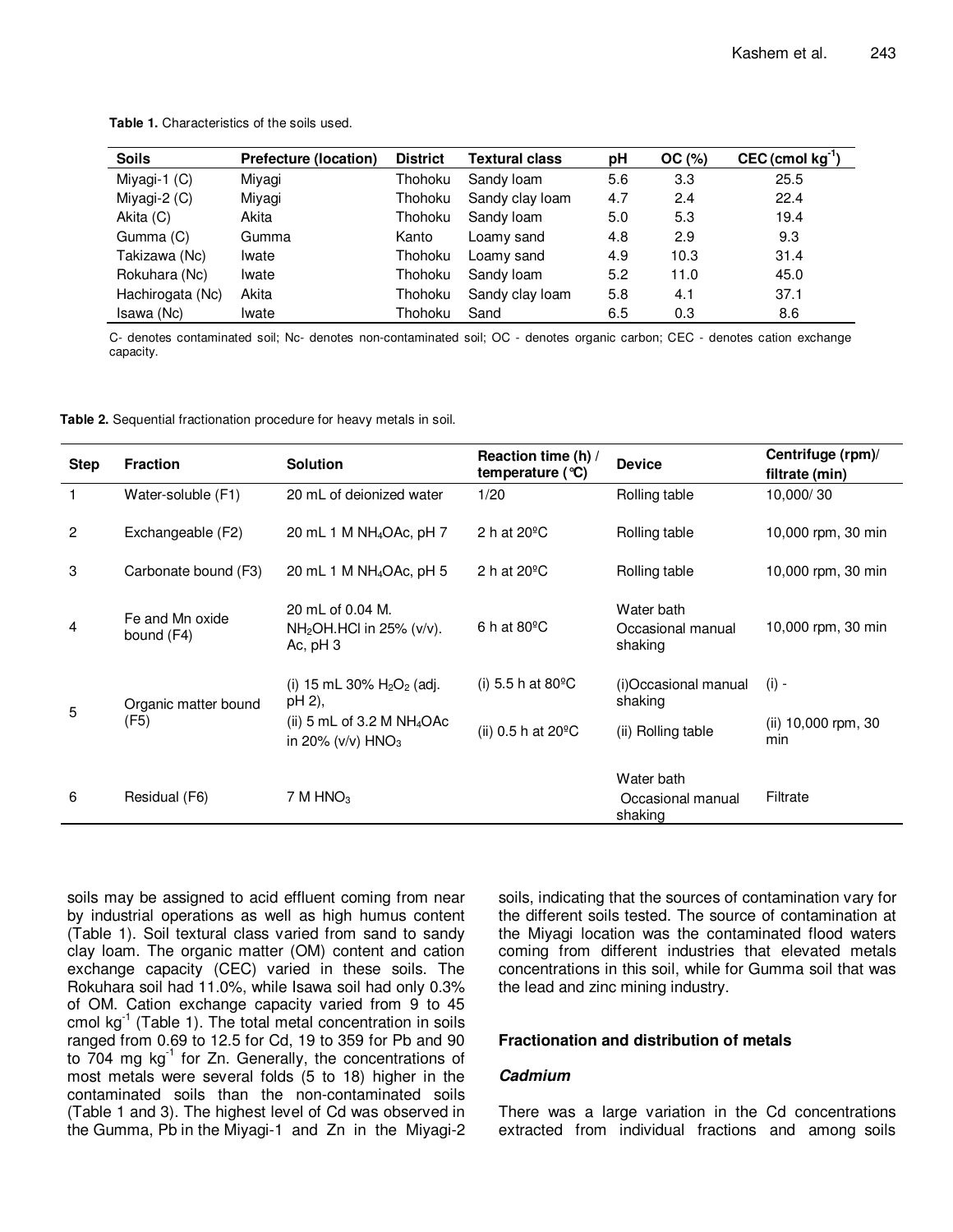**Table 1.** Characteristics of the soils used.

| <b>Soils</b>     | <b>Prefecture (location)</b> | <b>District</b> | Textural class  | pH  | OC(%) | $CEC$ (cmol $kg^{-1}$ ) |
|------------------|------------------------------|-----------------|-----------------|-----|-------|-------------------------|
| Miyagi-1 $(C)$   | Miyagi                       | Thohoku         | Sandy loam      | 5.6 | 3.3   | 25.5                    |
| Miyagi-2 (C)     | Miyagi                       | Thohoku         | Sandy clay loam | 4.7 | 2.4   | 22.4                    |
| Akita (C)        | Akita                        | Thohoku         | Sandy loam      | 5.0 | 5.3   | 19.4                    |
| Gumma (C)        | Gumma                        | Kanto           | Loamy sand      | 4.8 | 2.9   | 9.3                     |
| Takizawa (Nc)    | Iwate                        | Thohoku         | Loamy sand      | 4.9 | 10.3  | 31.4                    |
| Rokuhara (Nc)    | Iwate                        | Thohoku         | Sandy loam      | 5.2 | 11.0  | 45.0                    |
| Hachirogata (Nc) | Akita                        | Thohoku         | Sandy clay loam | 5.8 | 4.1   | 37.1                    |
| Isawa (Nc)       | Iwate                        | Thohoku         | Sand            | 6.5 | 0.3   | 8.6                     |

C- denotes contaminated soil; Nc- denotes non-contaminated soil; OC - denotes organic carbon; CEC - denotes cation exchange capacity.

**Table 2.** Sequential fractionation procedure for heavy metals in soil.

| <b>Step</b>    | <b>Fraction</b>               | <b>Solution</b>                                                  | Reaction time (h) /<br>temperature $(°C)$ | <b>Device</b>                              | Centrifuge (rpm)/<br>filtrate (min) |
|----------------|-------------------------------|------------------------------------------------------------------|-------------------------------------------|--------------------------------------------|-------------------------------------|
| 1              | Water-soluble (F1)            | 20 mL of deionized water                                         | 1/20                                      | Rolling table                              | 10,000/30                           |
| $\overline{2}$ | Exchangeable (F2)             | 20 mL 1 M NH <sub>4</sub> OAc, pH 7                              | 2 h at $20^{\circ}$ C                     | Rolling table                              | 10,000 rpm, 30 min                  |
| 3              | Carbonate bound (F3)          | 20 mL 1 M $NH4OAc$ , pH 5                                        | 2 h at $20^{\circ}$ C                     | Rolling table                              | 10,000 rpm, 30 min                  |
| $\overline{4}$ | Fe and Mn oxide<br>bound (F4) | 20 mL of 0.04 M.<br>$NH2OH.HCl$ in 25% (v/v).<br>Ac, $pH_3$      | 6 h at $80^{\circ}$ C                     | Water bath<br>Occasional manual<br>shaking | 10,000 rpm, 30 min                  |
| 5<br>(F5)      | Organic matter bound          | (i) 15 mL 30% $H_2O_2$ (adj.<br>pH 2),                           | (i) 5.5 h at 80 $^{\circ}$ C              | (i)Occasional manual<br>shaking            | $(i) -$                             |
|                |                               | (ii) 5 mL of 3.2 M $NH4OAc$<br>in 20% ( $v/v$ ) HNO <sub>3</sub> | (ii) 0.5 h at $20^{\circ}$ C              | (ii) Rolling table                         | (ii) 10,000 rpm, 30<br>min          |
| 6              | Residual (F6)                 | 7 M HNO <sub>3</sub>                                             |                                           | Water bath<br>Occasional manual<br>shaking | Filtrate                            |

soils may be assigned to acid effluent coming from near by industrial operations as well as high humus content (Table 1). Soil textural class varied from sand to sandy clay loam. The organic matter (OM) content and cation exchange capacity (CEC) varied in these soils. The Rokuhara soil had 11.0%, while Isawa soil had only 0.3% of OM. Cation exchange capacity varied from 9 to 45 cmol  $kg^{-1}$  (Table 1). The total metal concentration in soils ranged from 0.69 to 12.5 for Cd, 19 to 359 for Pb and 90 to  $704$  mg  $kg<sup>-1</sup>$  for Zn. Generally, the concentrations of most metals were several folds (5 to 18) higher in the contaminated soils than the non-contaminated soils (Table 1 and 3). The highest level of Cd was observed in the Gumma, Pb in the Miyagi-1 and Zn in the Miyagi-2 soils, indicating that the sources of contamination vary for the different soils tested. The source of contamination at the Miyagi location was the contaminated flood waters coming from different industries that elevated metals concentrations in this soil, while for Gumma soil that was the lead and zinc mining industry.

### **Fractionation and distribution of metals**

### **Cadmium**

There was a large variation in the Cd concentrations extracted from individual fractions and among soils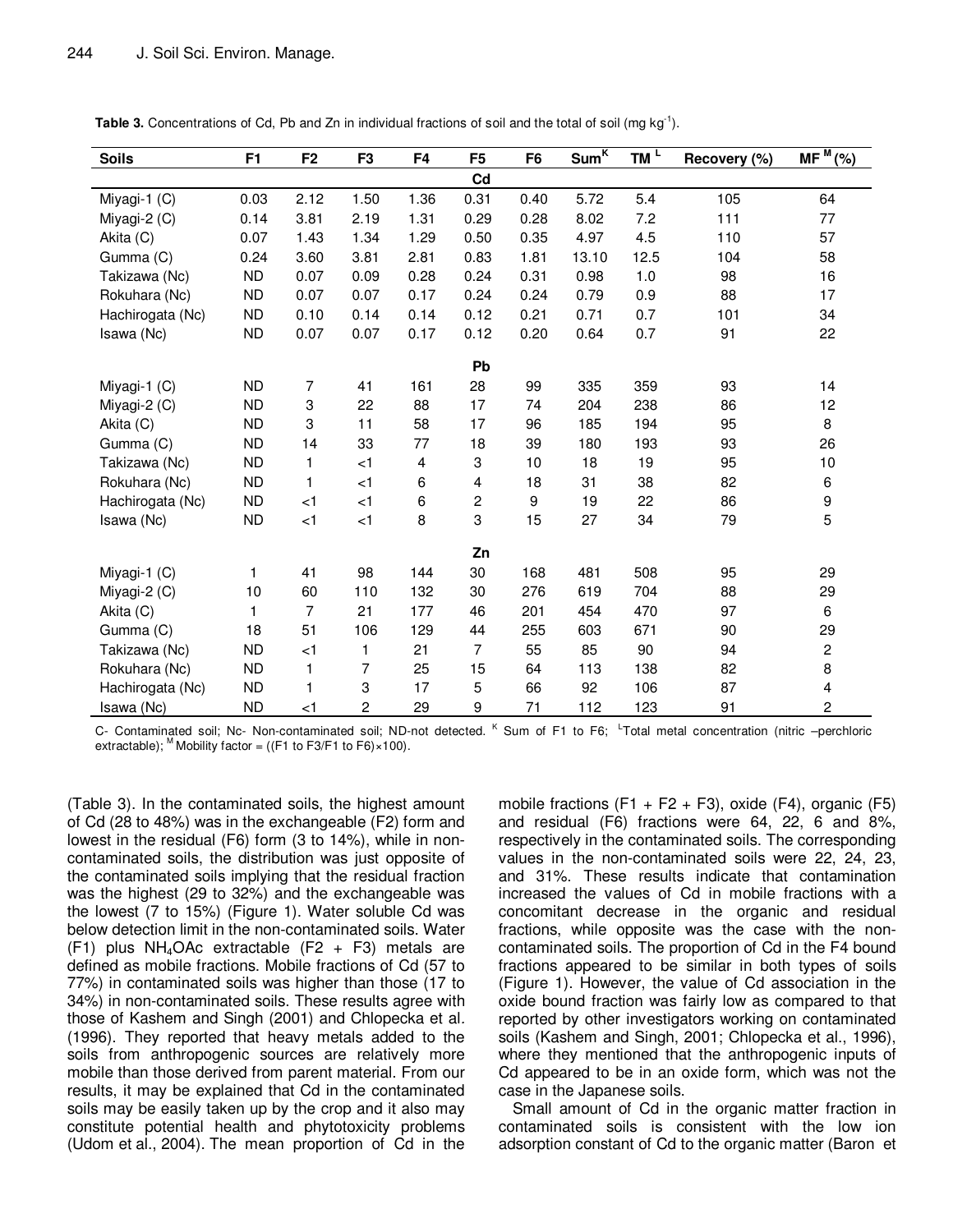| <b>Soils</b>     | F <sub>1</sub> | F <sub>2</sub>            | F <sub>3</sub> | F <sub>4</sub> | F <sub>5</sub> | F <sub>6</sub>   | Sum <sup>K</sup> | $TM^L$ | Recovery (%) | $\overline{\mathsf{MF}}^{\mathsf{M}}$ (%) |
|------------------|----------------|---------------------------|----------------|----------------|----------------|------------------|------------------|--------|--------------|-------------------------------------------|
|                  |                |                           |                |                | Cd             |                  |                  |        |              |                                           |
| Miyagi-1 (C)     | 0.03           | 2.12                      | 1.50           | 1.36           | 0.31           | 0.40             | 5.72             | 5.4    | 105          | 64                                        |
| Miyagi-2 (C)     | 0.14           | 3.81                      | 2.19           | 1.31           | 0.29           | 0.28             | 8.02             | 7.2    | 111          | 77                                        |
| Akita (C)        | 0.07           | 1.43                      | 1.34           | 1.29           | 0.50           | 0.35             | 4.97             | 4.5    | 110          | 57                                        |
| Gumma (C)        | 0.24           | 3.60                      | 3.81           | 2.81           | 0.83           | 1.81             | 13.10            | 12.5   | 104          | 58                                        |
| Takizawa (Nc)    | ND.            | 0.07                      | 0.09           | 0.28           | 0.24           | 0.31             | 0.98             | 1.0    | 98           | 16                                        |
| Rokuhara (Nc)    | <b>ND</b>      | 0.07                      | 0.07           | 0.17           | 0.24           | 0.24             | 0.79             | 0.9    | 88           | 17                                        |
| Hachirogata (Nc) | <b>ND</b>      | 0.10                      | 0.14           | 0.14           | 0.12           | 0.21             | 0.71             | 0.7    | 101          | 34                                        |
| Isawa (Nc)       | <b>ND</b>      | 0.07                      | 0.07           | 0.17           | 0.12           | 0.20             | 0.64             | 0.7    | 91           | 22                                        |
|                  |                |                           |                |                | Pb             |                  |                  |        |              |                                           |
| Miyagi-1 (C)     | <b>ND</b>      | 7                         | 41             | 161            | 28             | 99               | 335              | 359    | 93           | 14                                        |
| Miyagi-2 $(C)$   | <b>ND</b>      | $\ensuremath{\mathsf{3}}$ | 22             | 88             | 17             | 74               | 204              | 238    | 86           | 12                                        |
| Akita (C)        | <b>ND</b>      | $\ensuremath{\mathsf{3}}$ | 11             | 58             | 17             | 96               | 185              | 194    | 95           | 8                                         |
| Gumma (C)        | ND.            | 14                        | 33             | 77             | 18             | 39               | 180              | 193    | 93           | 26                                        |
| Takizawa (Nc)    | <b>ND</b>      | 1                         | $\leq$ 1       | 4              | 3              | 10               | 18               | 19     | 95           | 10                                        |
| Rokuhara (Nc)    | <b>ND</b>      | $\mathbf{1}$              | < 1            | 6              | 4              | 18               | 31               | 38     | 82           | 6                                         |
| Hachirogata (Nc) | <b>ND</b>      | $<$ 1                     | < 1            | 6              | 2              | $\boldsymbol{9}$ | 19               | 22     | 86           | $\boldsymbol{9}$                          |
| Isawa (Nc)       | ND.            | $<$ 1                     | $\leq$ 1       | 8              | 3              | 15               | 27               | 34     | 79           | 5                                         |
| Zn               |                |                           |                |                |                |                  |                  |        |              |                                           |
| Miyagi-1 (C)     | $\mathbf{1}$   | 41                        | 98             | 144            | 30             | 168              | 481              | 508    | 95           | 29                                        |
| Miyagi-2 (C)     | 10             | 60                        | 110            | 132            | 30             | 276              | 619              | 704    | 88           | 29                                        |
| Akita (C)        | $\mathbf{1}$   | $\overline{7}$            | 21             | 177            | 46             | 201              | 454              | 470    | 97           | 6                                         |
| Gumma (C)        | 18             | 51                        | 106            | 129            | 44             | 255              | 603              | 671    | 90           | 29                                        |
| Takizawa (Nc)    | <b>ND</b>      | $<$ 1                     | 1              | 21             | $\overline{7}$ | 55               | 85               | 90     | 94           | $\mathbf 2$                               |
| Rokuhara (Nc)    | <b>ND</b>      | 1                         | 7              | 25             | 15             | 64               | 113              | 138    | 82           | 8                                         |
| Hachirogata (Nc) | <b>ND</b>      | $\mathbf{1}$              | 3              | 17             | 5              | 66               | 92               | 106    | 87           | 4                                         |
| Isawa (Nc)       | <b>ND</b>      | $<$ 1                     | $\overline{c}$ | 29             | 9              | 71               | 112              | 123    | 91           | $\overline{c}$                            |

**Table 3.** Concentrations of Cd, Pb and Zn in individual fractions of soil and the total of soil (mg kg<sup>-1</sup>).

C- Contaminated soil; Nc- Non-contaminated soil; ND-not detected. K Sum of F1 to F6; <sup>L</sup>Total metal concentration (nitric -perchloric extractable); <sup>M</sup> Mobility factor = ((F1 to F3/F1 to F6) $\times$ 100).

(Table 3). In the contaminated soils, the highest amount of Cd (28 to 48%) was in the exchangeable (F2) form and lowest in the residual (F6) form (3 to 14%), while in noncontaminated soils, the distribution was just opposite of the contaminated soils implying that the residual fraction was the highest (29 to 32%) and the exchangeable was the lowest (7 to 15%) (Figure 1). Water soluble Cd was below detection limit in the non-contaminated soils. Water  $(F1)$  plus NH<sub>4</sub>OAc extractable (F2 + F3) metals are defined as mobile fractions. Mobile fractions of Cd (57 to 77%) in contaminated soils was higher than those (17 to 34%) in non-contaminated soils. These results agree with those of Kashem and Singh (2001) and Chlopecka et al. (1996). They reported that heavy metals added to the soils from anthropogenic sources are relatively more mobile than those derived from parent material. From our results, it may be explained that Cd in the contaminated soils may be easily taken up by the crop and it also may constitute potential health and phytotoxicity problems (Udom et al., 2004). The mean proportion of Cd in the

mobile fractions  $(F1 + F2 + F3)$ , oxide  $(F4)$ , organic  $(F5)$ and residual (F6) fractions were 64, 22, 6 and 8%, respectively in the contaminated soils. The corresponding values in the non-contaminated soils were 22, 24, 23, and 31%. These results indicate that contamination increased the values of Cd in mobile fractions with a concomitant decrease in the organic and residual fractions, while opposite was the case with the noncontaminated soils. The proportion of Cd in the F4 bound fractions appeared to be similar in both types of soils (Figure 1). However, the value of Cd association in the oxide bound fraction was fairly low as compared to that reported by other investigators working on contaminated soils (Kashem and Singh, 2001; Chlopecka et al., 1996), where they mentioned that the anthropogenic inputs of Cd appeared to be in an oxide form, which was not the case in the Japanese soils.

Small amount of Cd in the organic matter fraction in contaminated soils is consistent with the low ion adsorption constant of Cd to the organic matter (Baron et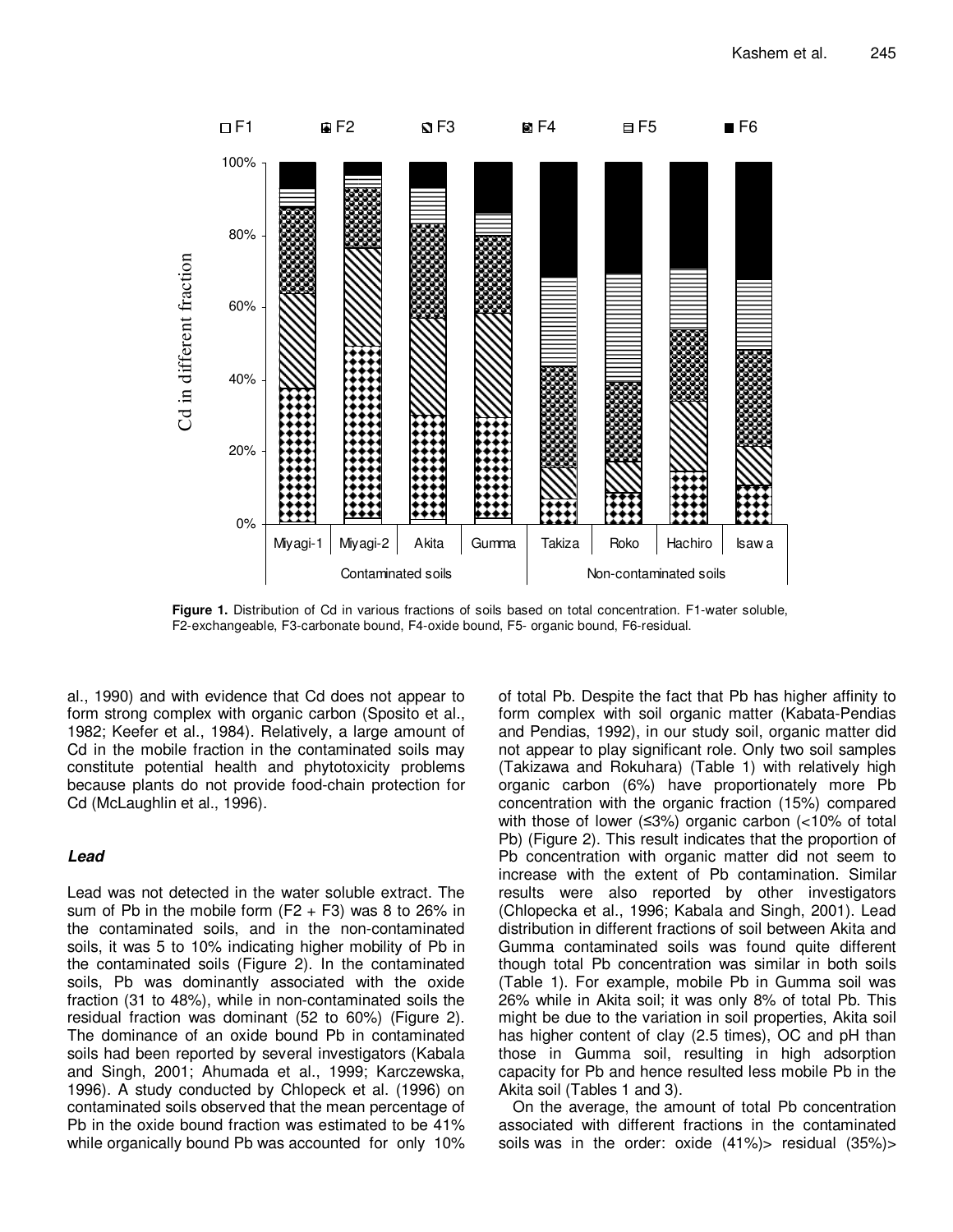

**Figure 1.** Distribution of Cd in various fractions of soils based on total concentration. F1-water soluble, F2-exchangeable, F3-carbonate bound, F4-oxide bound, F5- organic bound, F6-residual.

al., 1990) and with evidence that Cd does not appear to form strong complex with organic carbon (Sposito et al., 1982; Keefer et al., 1984). Relatively, a large amount of Cd in the mobile fraction in the contaminated soils may constitute potential health and phytotoxicity problems because plants do not provide food-chain protection for Cd (McLaughlin et al., 1996).

## **Lead**

Lead was not detected in the water soluble extract. The sum of Pb in the mobile form  $(F2 + F3)$  was 8 to 26% in the contaminated soils, and in the non-contaminated soils, it was 5 to 10% indicating higher mobility of Pb in the contaminated soils (Figure 2). In the contaminated soils, Pb was dominantly associated with the oxide fraction (31 to 48%), while in non-contaminated soils the residual fraction was dominant (52 to 60%) (Figure 2). The dominance of an oxide bound Pb in contaminated soils had been reported by several investigators (Kabala and Singh, 2001; Ahumada et al., 1999; Karczewska, 1996). A study conducted by Chlopeck et al. (1996) on contaminated soils observed that the mean percentage of Pb in the oxide bound fraction was estimated to be 41% while organically bound Pb was accounted for only 10% of total Pb. Despite the fact that Pb has higher affinity to form complex with soil organic matter (Kabata-Pendias and Pendias, 1992), in our study soil, organic matter did not appear to play significant role. Only two soil samples (Takizawa and Rokuhara) (Table 1) with relatively high organic carbon (6%) have proportionately more Pb concentration with the organic fraction (15%) compared with those of lower (≤3%) organic carbon (<10% of total Pb) (Figure 2). This result indicates that the proportion of Pb concentration with organic matter did not seem to increase with the extent of Pb contamination. Similar results were also reported by other investigators (Chlopecka et al., 1996; Kabala and Singh, 2001). Lead distribution in different fractions of soil between Akita and Gumma contaminated soils was found quite different though total Pb concentration was similar in both soils (Table 1). For example, mobile Pb in Gumma soil was 26% while in Akita soil; it was only 8% of total Pb. This might be due to the variation in soil properties, Akita soil has higher content of clay (2.5 times), OC and pH than those in Gumma soil, resulting in high adsorption capacity for Pb and hence resulted less mobile Pb in the Akita soil (Tables 1 and 3).

On the average, the amount of total Pb concentration associated with different fractions in the contaminated soils was in the order: oxide (41%)> residual (35%)>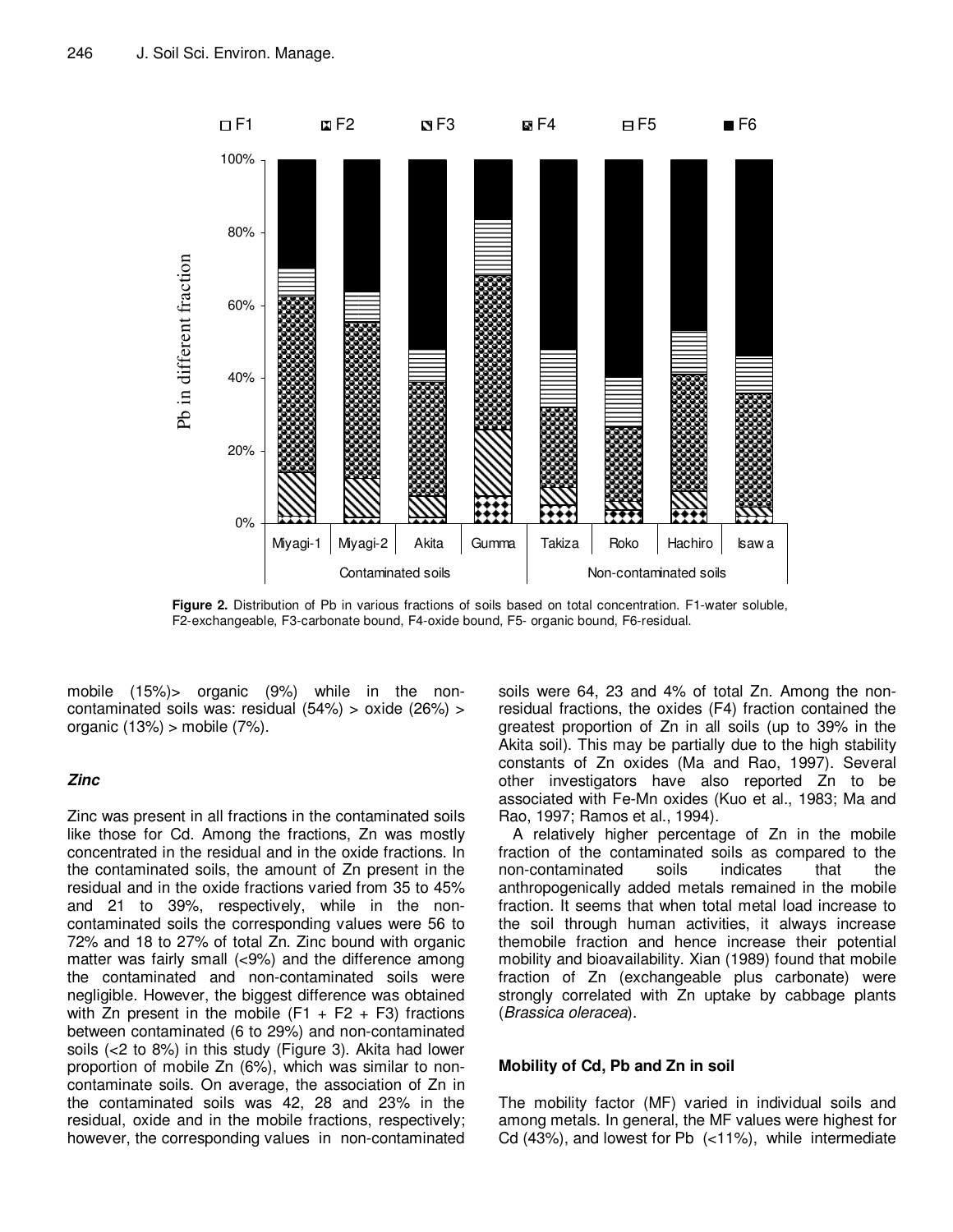

**Figure 2.** Distribution of Pb in various fractions of soils based on total concentration. F1-water soluble, F2-exchangeable, F3-carbonate bound, F4-oxide bound, F5- organic bound, F6-residual.

mobile (15%)> organic (9%) while in the noncontaminated soils was: residual (54%) > oxide (26%) > organic (13%) > mobile (7%).

## **Zinc**

Zinc was present in all fractions in the contaminated soils like those for Cd. Among the fractions, Zn was mostly concentrated in the residual and in the oxide fractions. In the contaminated soils, the amount of Zn present in the residual and in the oxide fractions varied from 35 to 45% and 21 to 39%, respectively, while in the noncontaminated soils the corresponding values were 56 to 72% and 18 to 27% of total Zn. Zinc bound with organic matter was fairly small (<9%) and the difference among the contaminated and non-contaminated soils were negligible. However, the biggest difference was obtained with Zn present in the mobile  $(F1 + F2 + F3)$  fractions between contaminated (6 to 29%) and non-contaminated soils (<2 to 8%) in this study (Figure 3). Akita had lower proportion of mobile Zn (6%), which was similar to noncontaminate soils. On average, the association of Zn in the contaminated soils was 42, 28 and 23% in the residual, oxide and in the mobile fractions, respectively; however, the corresponding values in non-contaminated soils were 64, 23 and 4% of total Zn. Among the nonresidual fractions, the oxides (F4) fraction contained the greatest proportion of Zn in all soils (up to 39% in the Akita soil). This may be partially due to the high stability constants of Zn oxides (Ma and Rao, 1997). Several other investigators have also reported Zn to be associated with Fe-Mn oxides (Kuo et al., 1983; Ma and Rao, 1997; Ramos et al., 1994).

A relatively higher percentage of Zn in the mobile fraction of the contaminated soils as compared to the non-contaminated soils indicates that the anthropogenically added metals remained in the mobile fraction. It seems that when total metal load increase to the soil through human activities, it always increase themobile fraction and hence increase their potential mobility and bioavailability. Xian (1989) found that mobile fraction of Zn (exchangeable plus carbonate) were strongly correlated with Zn uptake by cabbage plants (Brassica oleracea).

## **Mobility of Cd, Pb and Zn in soil**

The mobility factor (MF) varied in individual soils and among metals. In general, the MF values were highest for Cd (43%), and lowest for Pb (<11%), while intermediate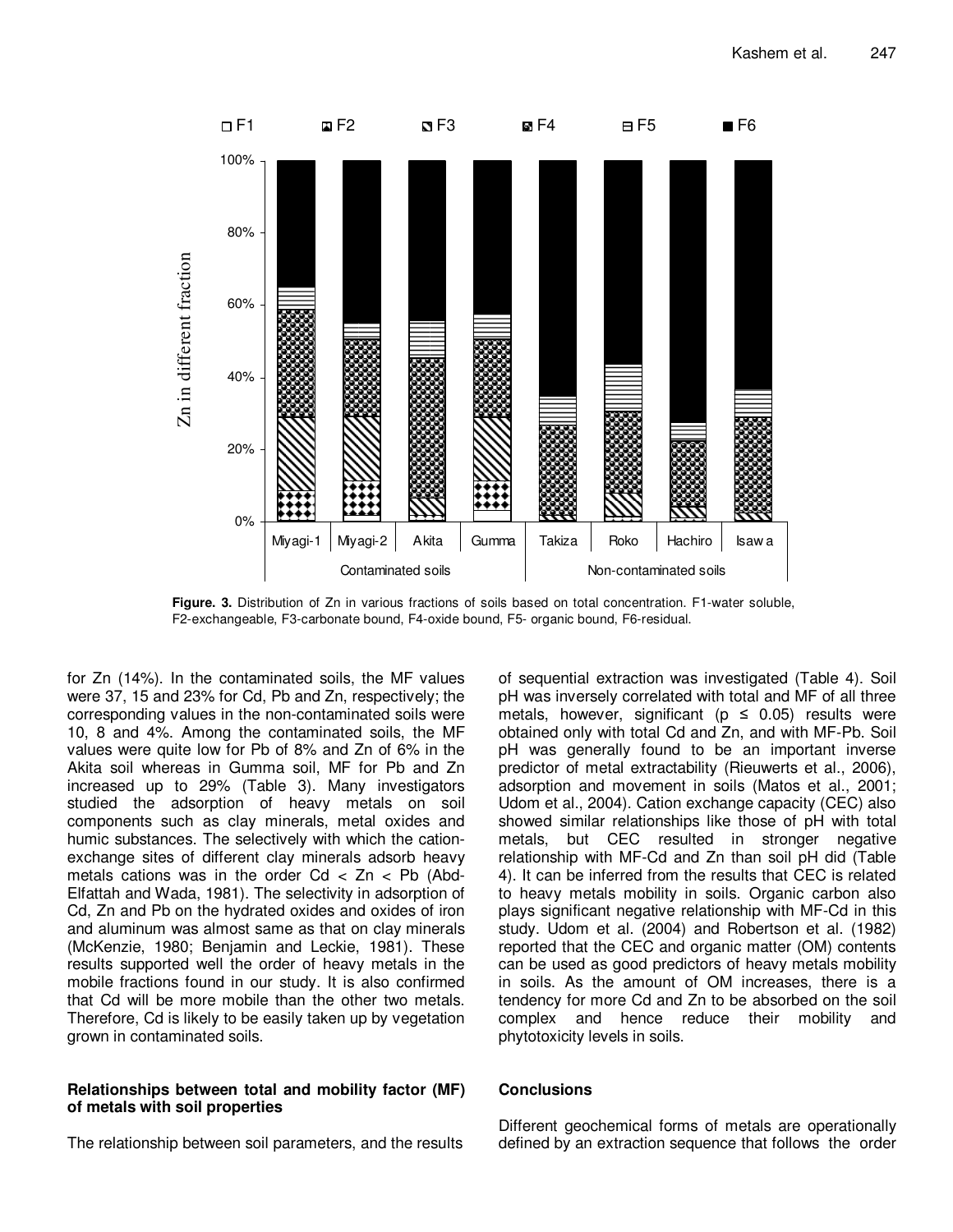

**Figure. 3.** Distribution of Zn in various fractions of soils based on total concentration. F1-water soluble, F2-exchangeable, F3-carbonate bound, F4-oxide bound, F5- organic bound, F6-residual.

for Zn (14%). In the contaminated soils, the MF values were 37, 15 and 23% for Cd, Pb and Zn, respectively; the corresponding values in the non-contaminated soils were 10, 8 and 4%. Among the contaminated soils, the MF values were quite low for Pb of 8% and Zn of 6% in the Akita soil whereas in Gumma soil, MF for Pb and Zn increased up to 29% (Table 3). Many investigators studied the adsorption of heavy metals on soil components such as clay minerals, metal oxides and humic substances. The selectively with which the cationexchange sites of different clay minerals adsorb heavy metals cations was in the order  $Cd < Zn < Pb$  (Abd-Elfattah and Wada, 1981). The selectivity in adsorption of Cd, Zn and Pb on the hydrated oxides and oxides of iron and aluminum was almost same as that on clay minerals (McKenzie, 1980; Benjamin and Leckie, 1981). These results supported well the order of heavy metals in the mobile fractions found in our study. It is also confirmed that Cd will be more mobile than the other two metals. Therefore, Cd is likely to be easily taken up by vegetation grown in contaminated soils.

## **Relationships between total and mobility factor (MF) of metals with soil properties**

The relationship between soil parameters, and the results

of sequential extraction was investigated (Table 4). Soil pH was inversely correlated with total and MF of all three metals, however, significant ( $p \le 0.05$ ) results were obtained only with total Cd and Zn, and with MF-Pb. Soil pH was generally found to be an important inverse predictor of metal extractability (Rieuwerts et al., 2006), adsorption and movement in soils (Matos et al., 2001; Udom et al., 2004). Cation exchange capacity (CEC) also showed similar relationships like those of pH with total metals, but CEC resulted in stronger negative relationship with MF-Cd and Zn than soil pH did (Table 4). It can be inferred from the results that CEC is related to heavy metals mobility in soils. Organic carbon also plays significant negative relationship with MF-Cd in this study. Udom et al. (2004) and Robertson et al. (1982) reported that the CEC and organic matter (OM) contents can be used as good predictors of heavy metals mobility in soils. As the amount of OM increases, there is a tendency for more Cd and Zn to be absorbed on the soil complex and hence reduce their mobility and phytotoxicity levels in soils.

## **Conclusions**

Different geochemical forms of metals are operationally defined by an extraction sequence that follows the order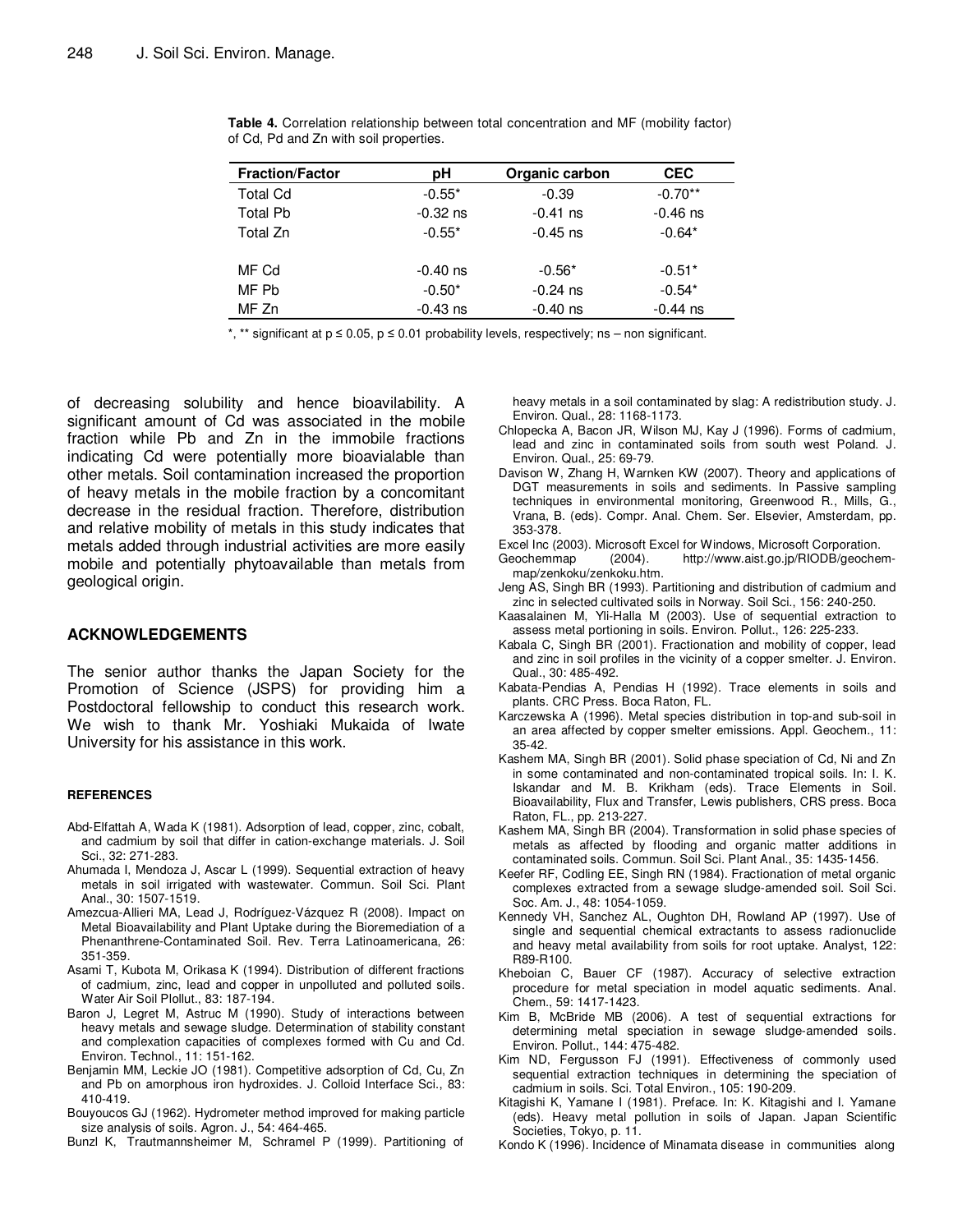| <b>Fraction/Factor</b> | pН         | Organic carbon | <b>CEC</b> |
|------------------------|------------|----------------|------------|
| <b>Total Cd</b>        | $-0.55*$   | $-0.39$        | $-0.70**$  |
| <b>Total Pb</b>        | $-0.32$ ns | $-0.41$ ns     | $-0.46$ ns |
| Total Zn               | $-0.55*$   | $-0.45$ ns     | $-0.64*$   |
|                        |            |                |            |
| MF Cd                  | $-0.40$ ns | $-0.56*$       | $-0.51*$   |
| MF Pb                  | $-0.50*$   | $-0.24$ ns     | $-0.54*$   |
| MF Zn                  | $-0.43$ ns | $-0.40$ ns     | $-0.44$ ns |

**Table 4.** Correlation relationship between total concentration and MF (mobility factor) of Cd, Pd and Zn with soil properties.

\*, \*\* significant at p ≤ 0.05, p ≤ 0.01 probability levels, respectively; ns – non significant.

of decreasing solubility and hence bioavilability. A significant amount of Cd was associated in the mobile fraction while Pb and Zn in the immobile fractions indicating Cd were potentially more bioavialable than other metals. Soil contamination increased the proportion of heavy metals in the mobile fraction by a concomitant decrease in the residual fraction. Therefore, distribution and relative mobility of metals in this study indicates that metals added through industrial activities are more easily mobile and potentially phytoavailable than metals from geological origin.

#### **ACKNOWLEDGEMENTS**

The senior author thanks the Japan Society for the Promotion of Science (JSPS) for providing him a Postdoctoral fellowship to conduct this research work. We wish to thank Mr. Yoshiaki Mukaida of Iwate University for his assistance in this work.

#### **REFERENCES**

- Abd-Elfattah A, Wada K (1981). Adsorption of lead, copper, zinc, cobalt, and cadmium by soil that differ in cation-exchange materials. J. Soil Sci., 32: 271-283.
- Ahumada I, Mendoza J, Ascar L (1999). Sequential extraction of heavy metals in soil irrigated with wastewater. Commun. Soil Sci. Plant Anal., 30: 1507-1519.
- Amezcua-Allieri MA, Lead J, Rodríguez-Vázquez R (2008). Impact on Metal Bioavailability and Plant Uptake during the Bioremediation of a Phenanthrene-Contaminated Soil. Rev. Terra Latinoamericana, 26: 351-359.
- Asami T, Kubota M, Orikasa K (1994). Distribution of different fractions of cadmium, zinc, lead and copper in unpolluted and polluted soils. Water Air Soil Plollut., 83: 187-194.
- Baron J, Legret M, Astruc M (1990). Study of interactions between heavy metals and sewage sludge. Determination of stability constant and complexation capacities of complexes formed with Cu and Cd. Environ. Technol., 11: 151-162.
- Benjamin MM, Leckie JO (1981). Competitive adsorption of Cd, Cu, Zn and Pb on amorphous iron hydroxides. J. Colloid Interface Sci., 83: 410-419.
- Bouyoucos GJ (1962). Hydrometer method improved for making particle size analysis of soils. Agron. J., 54: 464-465.

Bunzl K, Trautmannsheimer M, Schramel P (1999). Partitioning of

heavy metals in a soil contaminated by slag: A redistribution study. J. Environ. Qual., 28: 1168-1173.

- Chlopecka A, Bacon JR, Wilson MJ, Kay J (1996). Forms of cadmium, lead and zinc in contaminated soils from south west Poland. J. Environ. Qual., 25: 69-79.
- Davison W, Zhang H, Warnken KW (2007). Theory and applications of DGT measurements in soils and sediments. In Passive sampling techniques in environmental monitoring, Greenwood R., Mills, G., Vrana, B. (eds). Compr. Anal. Chem. Ser. Elsevier, Amsterdam, pp. 353-378.
- Excel Inc (2003). Microsoft Excel for Windows, Microsoft Corporation.
- Geochemmap (2004). http://www.aist.go.jp/RIODB/geochemmap/zenkoku/zenkoku.htm.
- Jeng AS, Singh BR (1993). Partitioning and distribution of cadmium and zinc in selected cultivated soils in Norway. Soil Sci., 156: 240-250.
- Kaasalainen M, Yli-Halla M (2003). Use of sequential extraction to assess metal portioning in soils. Environ. Pollut., 126: 225-233.
- Kabala C, Singh BR (2001). Fractionation and mobility of copper, lead and zinc in soil profiles in the vicinity of a copper smelter. J. Environ. Qual., 30: 485-492.
- Kabata-Pendias A, Pendias H (1992). Trace elements in soils and plants. CRC Press. Boca Raton, FL.
- Karczewska A (1996). Metal species distribution in top-and sub-soil in an area affected by copper smelter emissions. Appl. Geochem., 11: 35-42.
- Kashem MA, Singh BR (2001). Solid phase speciation of Cd, Ni and Zn in some contaminated and non-contaminated tropical soils. In: I. K. Iskandar and M. B. Krikham (eds). Trace Elements in Soil. Bioavailability, Flux and Transfer, Lewis publishers, CRS press. Boca Raton, FL., pp. 213-227.
- Kashem MA, Singh BR (2004). Transformation in solid phase species of metals as affected by flooding and organic matter additions in contaminated soils. Commun. Soil Sci. Plant Anal., 35: 1435-1456.
- Keefer RF, Codling EE, Singh RN (1984). Fractionation of metal organic complexes extracted from a sewage sludge-amended soil. Soil Sci. Soc. Am. J., 48: 1054-1059.
- Kennedy VH, Sanchez AL, Oughton DH, Rowland AP (1997). Use of single and sequential chemical extractants to assess radionuclide and heavy metal availability from soils for root uptake. Analyst, 122: R89-R100.
- Kheboian C, Bauer CF (1987). Accuracy of selective extraction procedure for metal speciation in model aquatic sediments. Anal. Chem., 59: 1417-1423.
- Kim B, McBride MB (2006). A test of sequential extractions for determining metal speciation in sewage sludge-amended soils. Environ. Pollut., 144: 475-482.
- Kim ND, Fergusson FJ (1991). Effectiveness of commonly used sequential extraction techniques in determining the speciation of cadmium in soils. Sci. Total Environ., 105: 190-209.
- Kitagishi K, Yamane I (1981). Preface. In: K. Kitagishi and I. Yamane (eds). Heavy metal pollution in soils of Japan. Japan Scientific Societies, Tokyo, p. 11.
- Kondo K (1996). Incidence of Minamata disease in communities along